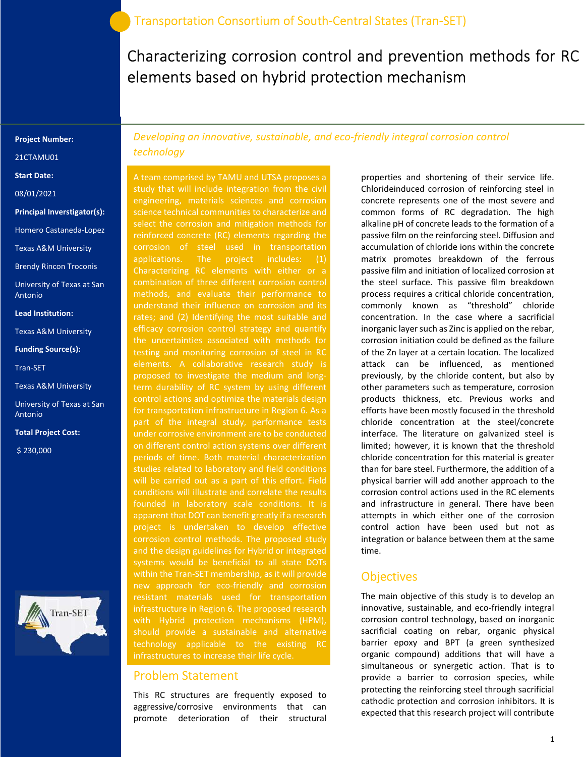Characterizing corrosion control and prevention methods for RC elements based on hybrid protection mechanism

#### Project Number:

21CTAMU01

Start Date:

08/01/2021

Principal Inverstigator(s):

Homero Castaneda-Lopez

Texas A&M University

Brendy Rincon Troconis

University of Texas at San Antonio

#### Lead Institution:

Texas A&M University

Funding Source(s):

Tran-SET

Texas A&M University

University of Texas at San Antonio

Total Project Cost:

\$ 230,000



Developing an innovative, sustainable, and eco-friendly integral corrosion control technology

A team comprised by TAMU and UTSA proposes a study that will include integration from the civil engineering, materials sciences and corrosion science technical communities to characterize and select the corrosion and mitigation methods for reinforced concrete (RC) elements regarding the corrosion of steel used in transportation applications. The project includes: (1) Characterizing RC elements with either or a combination of three different corrosion control methods, and evaluate their performance to understand their influence on corrosion and its rates; and (2) Identifying the most suitable and efficacy corrosion control strategy and quantify the uncertainties associated with methods for testing and monitoring corrosion of steel in RC elements. A collaborative research study is proposed to investigate the medium and longterm durability of RC system by using different control actions and optimize the materials design for transportation infrastructure in Region 6. As a part of the integral study, performance tests under corrosive environment are to be conducted on different control action systems over different will be carried out as a part of this effort. Field conditions will illustrate and correlate the results apparent that DOT can benefit greatly if a research project is undertaken to develop effective corrosion control methods. The proposed study and the design guidelines for Hybrid or integrated systems would be beneficial to all state DOTs within the Tran-SET membership, as it will provide new approach for eco-friendly and corrosion infrastructure in Region 6. The proposed research technology applicable to the existing RC infrastructures to increase their life cycle.

## Problem Statement

This RC structures are frequently exposed to aggressive/corrosive environments that can promote deterioration of their structural

properties and shortening of their service life. Chlorideinduced corrosion of reinforcing steel in concrete represents one of the most severe and common forms of RC degradation. The high alkaline pH of concrete leads to the formation of a passive film on the reinforcing steel. Diffusion and accumulation of chloride ions within the concrete matrix promotes breakdown of the ferrous passive film and initiation of localized corrosion at the steel surface. This passive film breakdown process requires a critical chloride concentration, commonly known as "threshold" chloride concentration. In the case where a sacrificial inorganic layer such as Zinc is applied on the rebar, corrosion initiation could be defined as the failure of the Zn layer at a certain location. The localized attack can be influenced, as mentioned previously, by the chloride content, but also by other parameters such as temperature, corrosion products thickness, etc. Previous works and efforts have been mostly focused in the threshold chloride concentration at the steel/concrete interface. The literature on galvanized steel is limited; however, it is known that the threshold chloride concentration for this material is greater than for bare steel. Furthermore, the addition of a physical barrier will add another approach to the corrosion control actions used in the RC elements and infrastructure in general. There have been attempts in which either one of the corrosion control action have been used but not as integration or balance between them at the same time.

### **Objectives**

The main objective of this study is to develop an innovative, sustainable, and eco-friendly integral corrosion control technology, based on inorganic sacrificial coating on rebar, organic physical barrier epoxy and BPT (a green synthesized organic compound) additions that will have a simultaneous or synergetic action. That is to provide a barrier to corrosion species, while protecting the reinforcing steel through sacrificial cathodic protection and corrosion inhibitors. It is expected that this research project will contribute